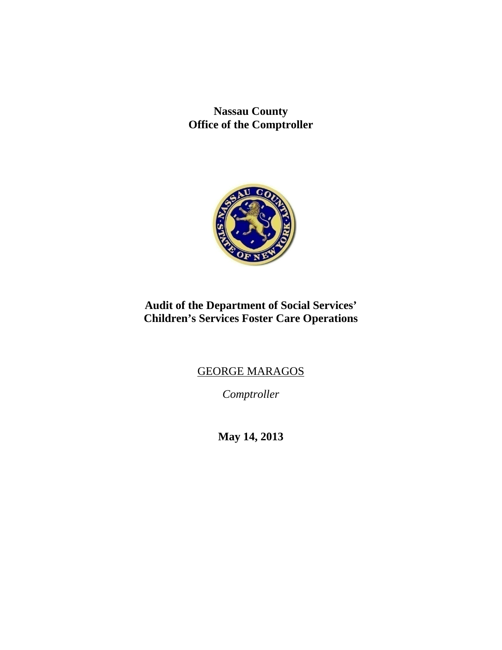**Nassau County Office of the Comptroller** 



# **Audit of the Department of Social Services' Children's Services Foster Care Operations**

# GEORGE MARAGOS

*Comptroller* 

**May 14, 2013**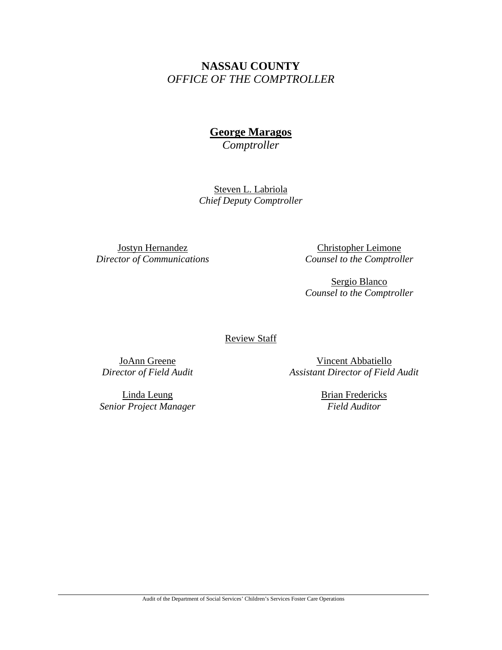# **NASSAU COUNTY**  *OFFICE OF THE COMPTROLLER*

# **George Maragos**

*Comptroller* 

Steven L. Labriola *Chief Deputy Comptroller* 

Jostyn Hernandez *Director of Communications* 

Christopher Leimone *Counsel to the Comptroller*

Sergio Blanco *Counsel to the Comptroller*

Review Staff

JoAnn Greene *Director of Field Audit* 

Linda Leung *Senior Project Manager* 

Vincent Abbatiello *Assistant Director of Field Audit* 

> Brian Fredericks *Field Auditor*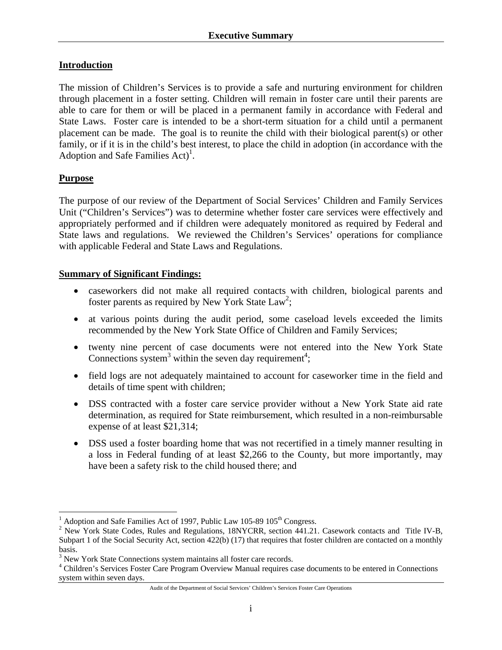### **Introduction**

The mission of Children's Services is to provide a safe and nurturing environment for children through placement in a foster setting. Children will remain in foster care until their parents are able to care for them or will be placed in a permanent family in accordance with Federal and State Laws. Foster care is intended to be a short-term situation for a child until a permanent placement can be made. The goal is to reunite the child with their biological parent(s) or other family, or if it is in the child's best interest, to place the child in adoption (in accordance with the Adoption and Safe Families  $Act)^{1}$ .

### **Purpose**

The purpose of our review of the Department of Social Services' Children and Family Services Unit ("Children's Services") was to determine whether foster care services were effectively and appropriately performed and if children were adequately monitored as required by Federal and State laws and regulations. We reviewed the Children's Services' operations for compliance with applicable Federal and State Laws and Regulations.

### **Summary of Significant Findings:**

- caseworkers did not make all required contacts with children, biological parents and foster parents as required by New York State  $Law^2$ ;
- at various points during the audit period, some caseload levels exceeded the limits recommended by the New York State Office of Children and Family Services;
- twenty nine percent of case documents were not entered into the New York State Connections system<sup>3</sup> within the seven day requirement<sup>4</sup>;
- field logs are not adequately maintained to account for caseworker time in the field and details of time spent with children;
- DSS contracted with a foster care service provider without a New York State aid rate determination, as required for State reimbursement, which resulted in a non-reimbursable expense of at least \$21,314;
- DSS used a foster boarding home that was not recertified in a timely manner resulting in a loss in Federal funding of at least \$2,266 to the County, but more importantly, may have been a safety risk to the child housed there; and

 $\overline{a}$ <sup>1</sup> Adoption and Safe Families Act of 1997, Public Law 105-89 105<sup>th</sup> Congress.<br><sup>2</sup> Naw York State Codes, Pulse and Begulations, 19NYCPB, section 441.21

<sup>&</sup>lt;sup>2</sup> New York State Codes, Rules and Regulations, 18NYCRR, section 441.21. Casework contacts and Title IV-B, Subpart 1 of the Social Security Act, section 422(b) (17) that requires that foster children are contacted on a monthly basis.

<sup>&</sup>lt;sup>3</sup> New York State Connections system maintains all foster care records.<br><sup>4</sup> Children's Services Foster Care Program Quarrieux Manual requires ca

Children's Services Foster Care Program Overview Manual requires case documents to be entered in Connections system within seven days.

Audit of the Department of Social Services' Children's Services Foster Care Operations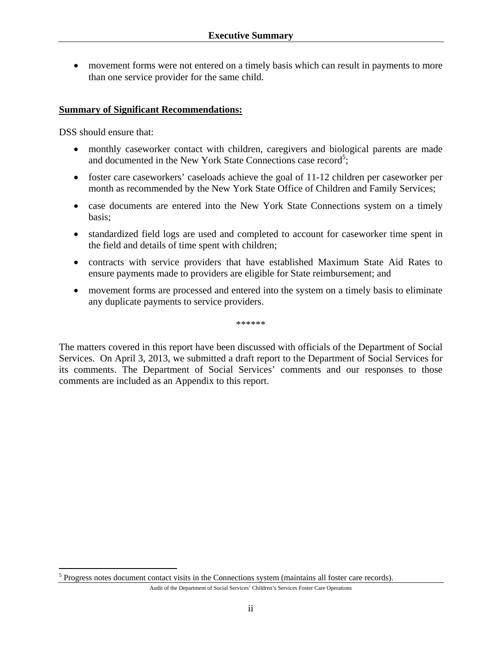• movement forms were not entered on a timely basis which can result in payments to more than one service provider for the same child.

#### **Summary of Significant Recommendations:**

DSS should ensure that:

 $\overline{a}$ 

- monthly caseworker contact with children, caregivers and biological parents are made and documented in the New York State Connections case record<sup>5</sup>;
- foster care caseworkers' caseloads achieve the goal of 11-12 children per caseworker per month as recommended by the New York State Office of Children and Family Services;
- case documents are entered into the New York State Connections system on a timely basis;
- standardized field logs are used and completed to account for caseworker time spent in the field and details of time spent with children;
- contracts with service providers that have established Maximum State Aid Rates to ensure payments made to providers are eligible for State reimbursement; and
- movement forms are processed and entered into the system on a timely basis to eliminate any duplicate payments to service providers.

\*\*\*\*\*\*

The matters covered in this report have been discussed with officials of the Department of Social Services. On April 3, 2013, we submitted a draft report to the Department of Social Services for its comments. The Department of Social Services' comments and our responses to those comments are included as an Appendix to this report.

 $<sup>5</sup>$  Progress notes document contact visits in the Connections system (maintains all foster care records).</sup>

Audit of the Department of Social Services' Children's Services Foster Care Operations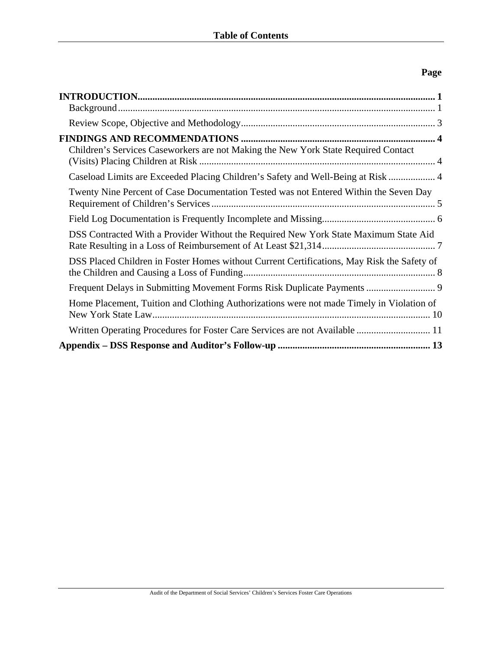# **Page**

| Children's Services Caseworkers are not Making the New York State Required Contact         |  |
|--------------------------------------------------------------------------------------------|--|
| Caseload Limits are Exceeded Placing Children's Safety and Well-Being at Risk  4           |  |
| Twenty Nine Percent of Case Documentation Tested was not Entered Within the Seven Day      |  |
|                                                                                            |  |
| DSS Contracted With a Provider Without the Required New York State Maximum State Aid       |  |
| DSS Placed Children in Foster Homes without Current Certifications, May Risk the Safety of |  |
| Frequent Delays in Submitting Movement Forms Risk Duplicate Payments  9                    |  |
| Home Placement, Tuition and Clothing Authorizations were not made Timely in Violation of   |  |
| Written Operating Procedures for Foster Care Services are not Available  11                |  |
|                                                                                            |  |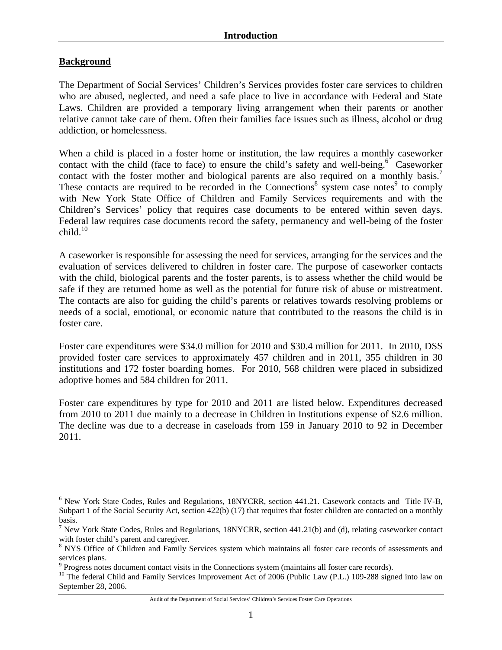### **Background**

 $\overline{a}$ 

The Department of Social Services' Children's Services provides foster care services to children who are abused, neglected, and need a safe place to live in accordance with Federal and State Laws. Children are provided a temporary living arrangement when their parents or another relative cannot take care of them. Often their families face issues such as illness, alcohol or drug addiction, or homelessness.

When a child is placed in a foster home or institution, the law requires a monthly caseworker contact with the child (face to face) to ensure the child's safety and well-being.<sup>6</sup> Caseworker contact with the foster mother and biological parents are also required on a monthly basis.<sup>7</sup> These contacts are required to be recorded in the Connections<sup>8</sup> system case notes<sup>9</sup> to comply with New York State Office of Children and Family Services requirements and with the Children's Services' policy that requires case documents to be entered within seven days. Federal law requires case documents record the safety, permanency and well-being of the foster  $child.<sup>10</sup>$ 

A caseworker is responsible for assessing the need for services, arranging for the services and the evaluation of services delivered to children in foster care. The purpose of caseworker contacts with the child, biological parents and the foster parents, is to assess whether the child would be safe if they are returned home as well as the potential for future risk of abuse or mistreatment. The contacts are also for guiding the child's parents or relatives towards resolving problems or needs of a social, emotional, or economic nature that contributed to the reasons the child is in foster care.

Foster care expenditures were \$34.0 million for 2010 and \$30.4 million for 2011. In 2010, DSS provided foster care services to approximately 457 children and in 2011, 355 children in 30 institutions and 172 foster boarding homes. For 2010, 568 children were placed in subsidized adoptive homes and 584 children for 2011.

Foster care expenditures by type for 2010 and 2011 are listed below. Expenditures decreased from 2010 to 2011 due mainly to a decrease in Children in Institutions expense of \$2.6 million. The decline was due to a decrease in caseloads from 159 in January 2010 to 92 in December 2011.

Audit of the Department of Social Services' Children's Services Foster Care Operations

<sup>&</sup>lt;sup>6</sup> New York State Codes, Rules and Regulations, 18NYCRR, section 441.21. Casework contacts and Title IV-B, Subpart 1 of the Social Security Act, section 422(b) (17) that requires that foster children are contacted on a monthly basis.

<sup>&</sup>lt;sup>7</sup> New York State Codes, Rules and Regulations, 18NYCRR, section  $441.21(b)$  and (d), relating caseworker contact with foster child's parent and caregiver.

<sup>&</sup>lt;sup>8</sup> NYS Office of Children and Family Services system which maintains all foster care records of assessments and services plans.

 $9$  Progress notes document contact visits in the Connections system (maintains all foster care records).

<sup>&</sup>lt;sup>10</sup> The federal Child and Family Services Improvement Act of 2006 (Public Law (P.L.) 109-288 signed into law on September 28, 2006.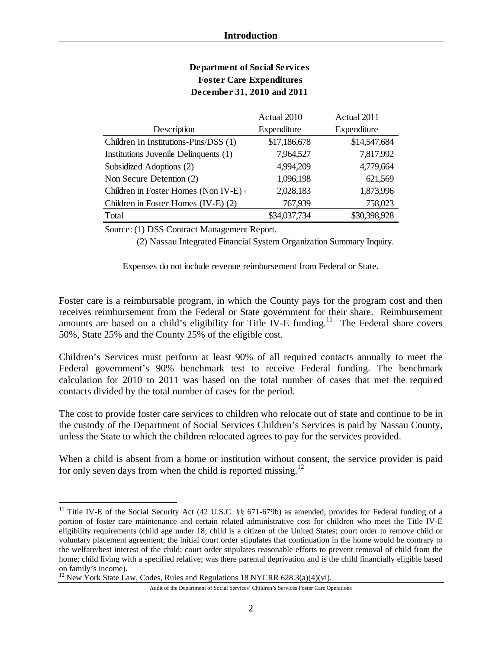| <b>Department of Social Services</b> |
|--------------------------------------|
| <b>Foster Care Expenditures</b>      |
| December 31, 2010 and 2011           |

|                                       | Actual 2010  | Actual 2011  |
|---------------------------------------|--------------|--------------|
| Description                           | Expenditure  | Expenditure  |
| Children In Institutions-Pins/DSS (1) | \$17,186,678 | \$14,547,684 |
| Institutions Juvenile Delinquents (1) | 7,964,527    | 7,817,992    |
| Subsidized Adoptions (2)              | 4,994,209    | 4,779,664    |
| Non Secure Detention (2)              | 1,096,198    | 621,569      |
| Children in Foster Homes (Non IV-E)   | 2,028,183    | 1,873,996    |
| Children in Foster Homes (IV-E) (2)   | 767,939      | 758,023      |
| Total                                 | \$34,037,734 | \$30,398,928 |

Source: (1) DSS Contract Management Report.

(2) Nassau Integrated Financial System Organization Summary Inquiry.

Expenses do not include revenue reimbursement from Federal or State.

Foster care is a reimbursable program, in which the County pays for the program cost and then receives reimbursement from the Federal or State government for their share. Reimbursement amounts are based on a child's eligibility for Title IV-E funding.<sup>11</sup> The Federal share covers 50%, State 25% and the County 25% of the eligible cost.

Children's Services must perform at least 90% of all required contacts annually to meet the Federal government's 90% benchmark test to receive Federal funding. The benchmark calculation for 2010 to 2011 was based on the total number of cases that met the required contacts divided by the total number of cases for the period.

The cost to provide foster care services to children who relocate out of state and continue to be in the custody of the Department of Social Services Children's Services is paid by Nassau County, unless the State to which the children relocated agrees to pay for the services provided.

When a child is absent from a home or institution without consent, the service provider is paid for only seven days from when the child is reported missing.<sup>12</sup>

 $\overline{a}$ 

Audit of the Department of Social Services' Children's Services Foster Care Operations

<sup>&</sup>lt;sup>11</sup> Title IV-E of the Social Security Act (42 U.S.C. §§ 671-679b) as amended, provides for Federal funding of a portion of foster care maintenance and certain related administrative cost for children who meet the Title IV-E eligibility requirements (child age under 18; child is a citizen of the United States; court order to remove child or voluntary placement agreement; the initial court order stipulates that continuation in the home would be contrary to the welfare/best interest of the child; court order stipulates reasonable efforts to prevent removal of child from the home; child living with a specified relative; was there parental deprivation and is the child financially eligible based on family's income).

<sup>&</sup>lt;sup>12</sup> New York State Law, Codes, Rules and Regulations  $18$  NYCRR 628.3(a)(4)(vi).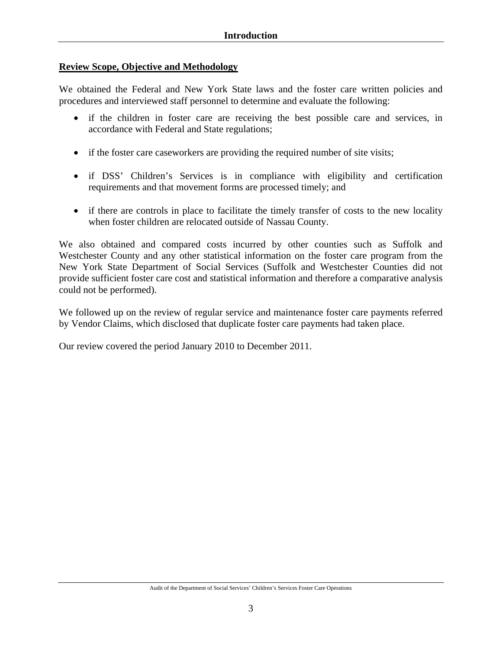### **Review Scope, Objective and Methodology**

We obtained the Federal and New York State laws and the foster care written policies and procedures and interviewed staff personnel to determine and evaluate the following:

- if the children in foster care are receiving the best possible care and services, in accordance with Federal and State regulations;
- if the foster care caseworkers are providing the required number of site visits;
- if DSS' Children's Services is in compliance with eligibility and certification requirements and that movement forms are processed timely; and
- if there are controls in place to facilitate the timely transfer of costs to the new locality when foster children are relocated outside of Nassau County.

We also obtained and compared costs incurred by other counties such as Suffolk and Westchester County and any other statistical information on the foster care program from the New York State Department of Social Services (Suffolk and Westchester Counties did not provide sufficient foster care cost and statistical information and therefore a comparative analysis could not be performed).

We followed up on the review of regular service and maintenance foster care payments referred by Vendor Claims, which disclosed that duplicate foster care payments had taken place.

Our review covered the period January 2010 to December 2011.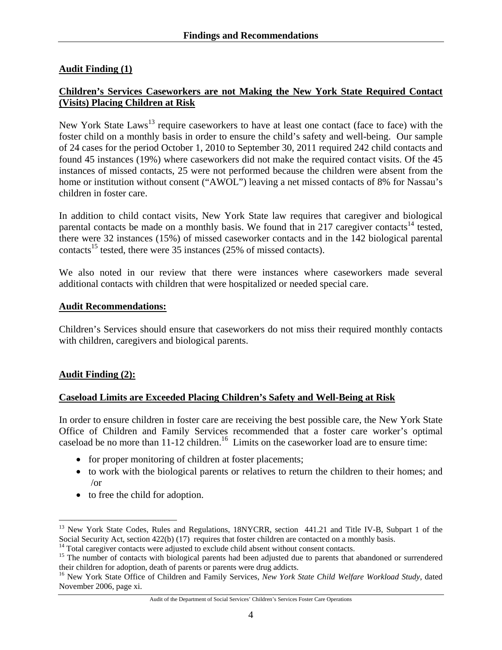### **Audit Finding (1)**

### **Children's Services Caseworkers are not Making the New York State Required Contact (Visits) Placing Children at Risk**

New York State Laws<sup>13</sup> require caseworkers to have at least one contact (face to face) with the foster child on a monthly basis in order to ensure the child's safety and well-being. Our sample of 24 cases for the period October 1, 2010 to September 30, 2011 required 242 child contacts and found 45 instances (19%) where caseworkers did not make the required contact visits. Of the 45 instances of missed contacts, 25 were not performed because the children were absent from the home or institution without consent ("AWOL") leaving a net missed contacts of 8% for Nassau's children in foster care.

In addition to child contact visits, New York State law requires that caregiver and biological parental contacts be made on a monthly basis. We found that in 217 caregiver contacts<sup>14</sup> tested, there were 32 instances (15%) of missed caseworker contacts and in the 142 biological parental contacts<sup>15</sup> tested, there were 35 instances (25% of missed contacts).

We also noted in our review that there were instances where caseworkers made several additional contacts with children that were hospitalized or needed special care.

#### **Audit Recommendations:**

Children's Services should ensure that caseworkers do not miss their required monthly contacts with children, caregivers and biological parents.

#### **Audit Finding (2):**

 $\overline{a}$ 

#### **Caseload Limits are Exceeded Placing Children's Safety and Well-Being at Risk**

In order to ensure children in foster care are receiving the best possible care, the New York State Office of Children and Family Services recommended that a foster care worker's optimal caseload be no more than  $11-12$  children.<sup>16</sup> Limits on the caseworker load are to ensure time:

- for proper monitoring of children at foster placements;
- to work with the biological parents or relatives to return the children to their homes; and /or
- to free the child for adoption.

Audit of the Department of Social Services' Children's Services Foster Care Operations

<sup>&</sup>lt;sup>13</sup> New York State Codes, Rules and Regulations, 18NYCRR, section 441.21 and Title IV-B, Subpart 1 of the Social Security Act, section 422(b) (17) requires that foster children are contacted on a monthly basis.<br><sup>14</sup> Total caregiver contacts were adjusted to exclude child absent without consent contacts.<br><sup>15</sup> The number of con

their children for adoption, death of parents or parents were drug addicts.

<sup>16</sup> New York State Office of Children and Family Services, *New York State Child Welfare Workload Study*, dated November 2006, page xi.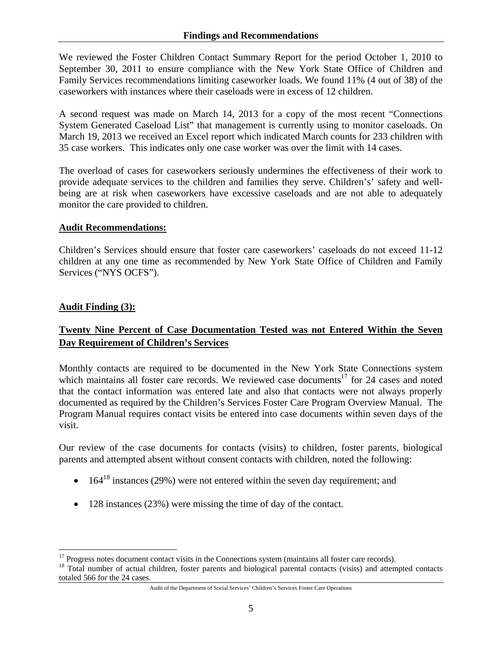We reviewed the Foster Children Contact Summary Report for the period October 1, 2010 to September 30, 2011 to ensure compliance with the New York State Office of Children and Family Services recommendations limiting caseworker loads. We found 11% (4 out of 38) of the caseworkers with instances where their caseloads were in excess of 12 children.

A second request was made on March 14, 2013 for a copy of the most recent "Connections System Generated Caseload List" that management is currently using to monitor caseloads. On March 19, 2013 we received an Excel report which indicated March counts for 233 children with 35 case workers. This indicates only one case worker was over the limit with 14 cases.

The overload of cases for caseworkers seriously undermines the effectiveness of their work to provide adequate services to the children and families they serve. Children's' safety and wellbeing are at risk when caseworkers have excessive caseloads and are not able to adequately monitor the care provided to children.

#### **Audit Recommendations:**

Children's Services should ensure that foster care caseworkers' caseloads do not exceed 11-12 children at any one time as recommended by New York State Office of Children and Family Services ("NYS OCFS").

#### **Audit Finding (3):**

1

# **Twenty Nine Percent of Case Documentation Tested was not Entered Within the Seven Day Requirement of Children's Services**

Monthly contacts are required to be documented in the New York State Connections system which maintains all foster care records. We reviewed case documents<sup>17</sup> for 24 cases and noted that the contact information was entered late and also that contacts were not always properly documented as required by the Children's Services Foster Care Program Overview Manual. The Program Manual requires contact visits be entered into case documents within seven days of the visit.

Our review of the case documents for contacts (visits) to children, foster parents, biological parents and attempted absent without consent contacts with children, noted the following:

- $164^{18}$  instances (29%) were not entered within the seven day requirement; and
- 128 instances (23%) were missing the time of day of the contact.

<sup>&</sup>lt;sup>17</sup> Progress notes document contact visits in the Connections system (maintains all foster care records).<br><sup>18</sup> Total number of actual children, foster parents and biological parental contacts (visits) and attempted conta totaled 566 for the 24 cases.

Audit of the Department of Social Services' Children's Services Foster Care Operations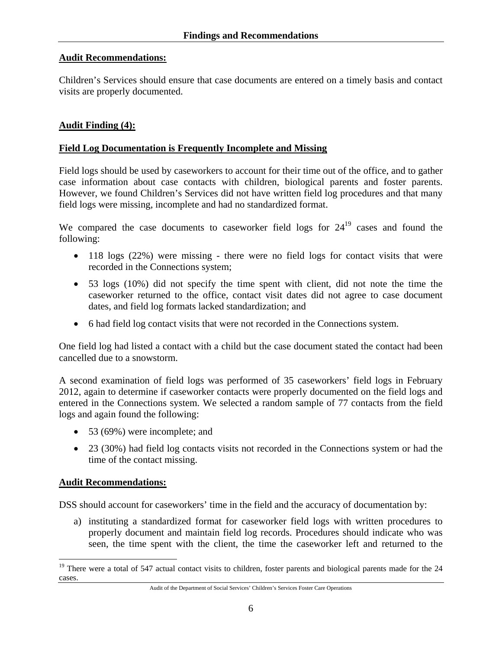#### **Audit Recommendations:**

Children's Services should ensure that case documents are entered on a timely basis and contact visits are properly documented.

#### **Audit Finding (4):**

#### **Field Log Documentation is Frequently Incomplete and Missing**

Field logs should be used by caseworkers to account for their time out of the office, and to gather case information about case contacts with children, biological parents and foster parents. However, we found Children's Services did not have written field log procedures and that many field logs were missing, incomplete and had no standardized format.

We compared the case documents to caseworker field logs for  $24^{19}$  cases and found the following:

- 118 logs (22%) were missing there were no field logs for contact visits that were recorded in the Connections system;
- 53 logs (10%) did not specify the time spent with client, did not note the time the caseworker returned to the office, contact visit dates did not agree to case document dates, and field log formats lacked standardization; and
- 6 had field log contact visits that were not recorded in the Connections system.

One field log had listed a contact with a child but the case document stated the contact had been cancelled due to a snowstorm.

A second examination of field logs was performed of 35 caseworkers' field logs in February 2012, again to determine if caseworker contacts were properly documented on the field logs and entered in the Connections system. We selected a random sample of 77 contacts from the field logs and again found the following:

- 53 (69%) were incomplete; and
- 23 (30%) had field log contacts visits not recorded in the Connections system or had the time of the contact missing.

#### **Audit Recommendations:**

 $\overline{a}$ 

DSS should account for caseworkers' time in the field and the accuracy of documentation by:

a) instituting a standardized format for caseworker field logs with written procedures to properly document and maintain field log records. Procedures should indicate who was seen, the time spent with the client, the time the caseworker left and returned to the

<sup>&</sup>lt;sup>19</sup> There were a total of 547 actual contact visits to children, foster parents and biological parents made for the 24 cases.

Audit of the Department of Social Services' Children's Services Foster Care Operations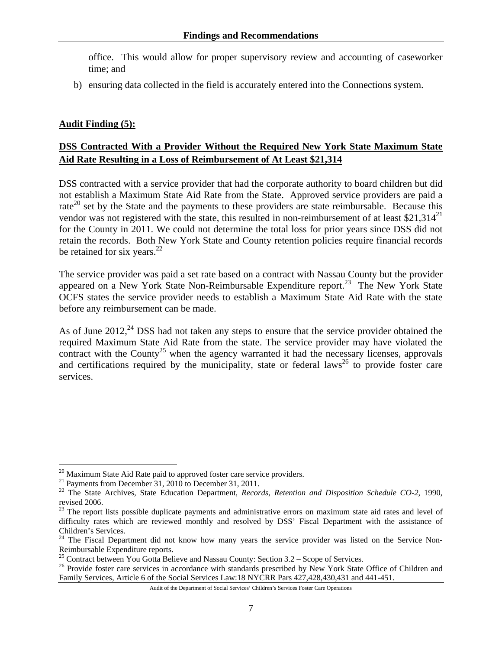office. This would allow for proper supervisory review and accounting of caseworker time; and

b) ensuring data collected in the field is accurately entered into the Connections system.

### **Audit Finding (5):**

# **DSS Contracted With a Provider Without the Required New York State Maximum State Aid Rate Resulting in a Loss of Reimbursement of At Least \$21,314**

DSS contracted with a service provider that had the corporate authority to board children but did not establish a Maximum State Aid Rate from the State. Approved service providers are paid a rate<sup>20</sup> set by the State and the payments to these providers are state reimbursable. Because this vendor was not registered with the state, this resulted in non-reimbursement of at least  $$21,314^{21}$ for the County in 2011. We could not determine the total loss for prior years since DSS did not retain the records. Both New York State and County retention policies require financial records be retained for six years. $^{22}$ 

The service provider was paid a set rate based on a contract with Nassau County but the provider appeared on a New York State Non-Reimbursable Expenditure report.<sup>23</sup> The New York State OCFS states the service provider needs to establish a Maximum State Aid Rate with the state before any reimbursement can be made.

As of June  $2012<sup>24</sup>$  DSS had not taken any steps to ensure that the service provider obtained the required Maximum State Aid Rate from the state. The service provider may have violated the contract with the County<sup>25</sup> when the agency warranted it had the necessary licenses, approvals and certifications required by the municipality, state or federal laws<sup>26</sup> to provide foster care services.

 $\overline{a}$ 

<sup>&</sup>lt;sup>20</sup> Maximum State Aid Rate paid to approved foster care service providers.<br><sup>21</sup> Payments from December 31, 2010 to December 31, 2011.

<sup>&</sup>lt;sup>21</sup> Payments from December 31, 2010 to December 31, 2011.<br><sup>22</sup> The State Archives, State Education Department, *Records, Retention and Disposition Schedule CO-2*, 1990, revised 2006.

<sup>&</sup>lt;sup>23</sup> The report lists possible duplicate payments and administrative errors on maximum state aid rates and level of difficulty rates which are reviewed monthly and resolved by DSS' Fiscal Department with the assistance of Children's Services.

 $24$  The Fiscal Department did not know how many years the service provider was listed on the Service Non-Reimbursable Expenditure reports.

<sup>&</sup>lt;sup>25</sup> Contract between You Gotta Believe and Nassau County: Section  $3.2 -$  Scope of Services.

<sup>&</sup>lt;sup>26</sup> Provide foster care services in accordance with standards prescribed by New York State Office of Children and Family Services, Article 6 of the Social Services Law:18 NYCRR Pars 427,428,430,431 and 441-451.

Audit of the Department of Social Services' Children's Services Foster Care Operations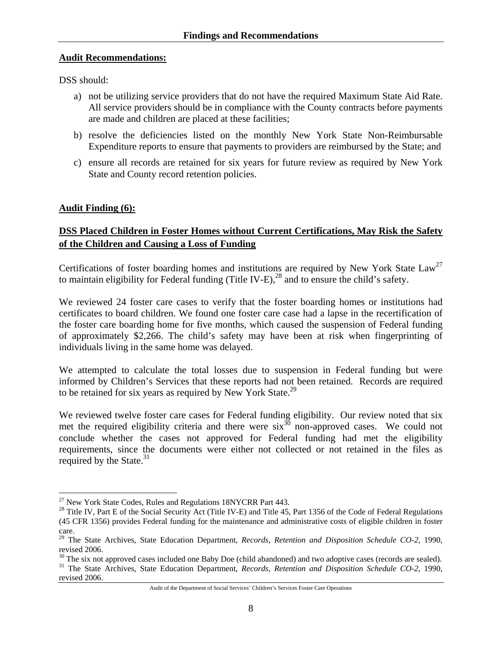#### **Audit Recommendations:**

DSS should:

- a) not be utilizing service providers that do not have the required Maximum State Aid Rate. All service providers should be in compliance with the County contracts before payments are made and children are placed at these facilities;
- b) resolve the deficiencies listed on the monthly New York State Non-Reimbursable Expenditure reports to ensure that payments to providers are reimbursed by the State; and
- c) ensure all records are retained for six years for future review as required by New York State and County record retention policies.

### **Audit Finding (6):**

1

# **DSS Placed Children in Foster Homes without Current Certifications, May Risk the Safety of the Children and Causing a Loss of Funding**

Certifications of foster boarding homes and institutions are required by New York State Law<sup>27</sup> to maintain eligibility for Federal funding (Title IV-E),<sup>28</sup> and to ensure the child's safety.

We reviewed 24 foster care cases to verify that the foster boarding homes or institutions had certificates to board children. We found one foster care case had a lapse in the recertification of the foster care boarding home for five months, which caused the suspension of Federal funding of approximately \$2,266. The child's safety may have been at risk when fingerprinting of individuals living in the same home was delayed.

We attempted to calculate the total losses due to suspension in Federal funding but were informed by Children's Services that these reports had not been retained. Records are required to be retained for six years as required by New York State.<sup>29</sup>

We reviewed twelve foster care cases for Federal funding eligibility. Our review noted that six met the required eligibility criteria and there were  $\sin^{30}$  non-approved cases. We could not conclude whether the cases not approved for Federal funding had met the eligibility requirements, since the documents were either not collected or not retained in the files as required by the State. $31$ 

 $27$  New York State Codes, Rules and Regulations 18NYCRR Part 443.

<sup>&</sup>lt;sup>28</sup> Title IV, Part E of the Social Security Act (Title IV-E) and Title 45, Part 1356 of the Code of Federal Regulations (45 CFR 1356) provides Federal funding for the maintenance and administrative costs of eligible children in foster care.

<sup>29</sup> The State Archives, State Education Department*, Records, Retention and Disposition Schedule CO-2*, 1990, revised 2006.

 $^{30}$  The six not approved cases included one Baby Doe (child abandoned) and two adoptive cases (records are sealed).<br><sup>31</sup> The State Archives, State Education Department, *Records, Retention and Disposition Schedule CO-2* 

revised 2006.

Audit of the Department of Social Services' Children's Services Foster Care Operations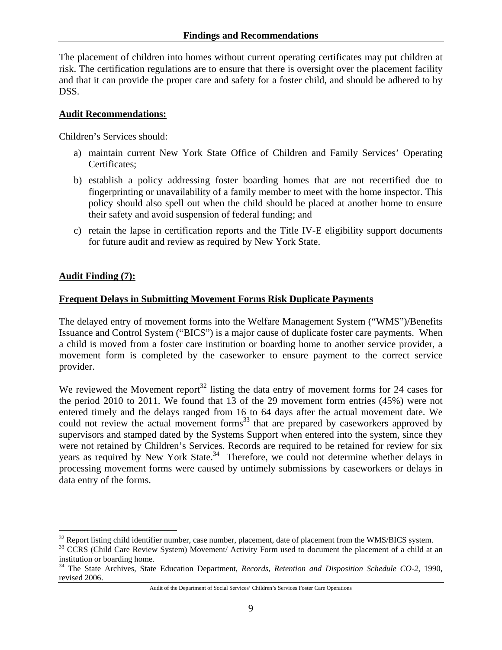The placement of children into homes without current operating certificates may put children at risk. The certification regulations are to ensure that there is oversight over the placement facility and that it can provide the proper care and safety for a foster child, and should be adhered to by DSS.

#### **Audit Recommendations:**

Children's Services should:

- a) maintain current New York State Office of Children and Family Services' Operating Certificates;
- b) establish a policy addressing foster boarding homes that are not recertified due to fingerprinting or unavailability of a family member to meet with the home inspector. This policy should also spell out when the child should be placed at another home to ensure their safety and avoid suspension of federal funding; and
- c) retain the lapse in certification reports and the Title IV-E eligibility support documents for future audit and review as required by New York State.

### **Audit Finding (7):**

 $\overline{a}$ 

### **Frequent Delays in Submitting Movement Forms Risk Duplicate Payments**

The delayed entry of movement forms into the Welfare Management System ("WMS")/Benefits Issuance and Control System ("BICS") is a major cause of duplicate foster care payments. When a child is moved from a foster care institution or boarding home to another service provider, a movement form is completed by the caseworker to ensure payment to the correct service provider.

We reviewed the Movement report<sup>32</sup> listing the data entry of movement forms for 24 cases for the period 2010 to 2011. We found that 13 of the 29 movement form entries (45%) were not entered timely and the delays ranged from 16 to 64 days after the actual movement date. We could not review the actual movement forms $^{33}$  that are prepared by caseworkers approved by supervisors and stamped dated by the Systems Support when entered into the system, since they were not retained by Children's Services. Records are required to be retained for review for six years as required by New York State.<sup>34</sup> Therefore, we could not determine whether delays in processing movement forms were caused by untimely submissions by caseworkers or delays in data entry of the forms.

<sup>&</sup>lt;sup>32</sup> Report listing child identifier number, case number, placement, date of placement from the WMS/BICS system.

<sup>&</sup>lt;sup>33</sup> CCRS (Child Care Review System) Movement/ Activity Form used to document the placement of a child at an institution or boarding home.

<sup>34</sup> The State Archives, State Education Department*, Records, Retention and Disposition Schedule CO-2*, 1990, revised 2006.

Audit of the Department of Social Services' Children's Services Foster Care Operations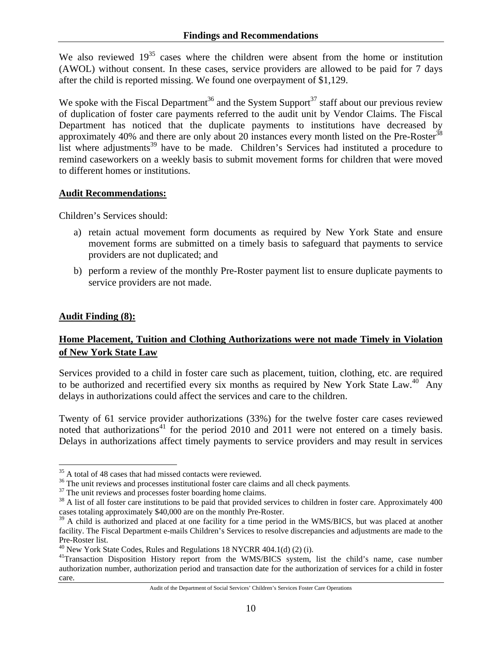We also reviewed  $19^{35}$  cases where the children were absent from the home or institution (AWOL) without consent. In these cases, service providers are allowed to be paid for 7 days after the child is reported missing. We found one overpayment of \$1,129.

We spoke with the Fiscal Department<sup>36</sup> and the System Support<sup>37</sup> staff about our previous review of duplication of foster care payments referred to the audit unit by Vendor Claims. The Fiscal Department has noticed that the duplicate payments to institutions have decreased by approximately 40% and there are only about 20 instances every month listed on the Pre-Roster<sup>38</sup> list where adjustments<sup>39</sup> have to be made. Children's Services had instituted a procedure to remind caseworkers on a weekly basis to submit movement forms for children that were moved to different homes or institutions.

#### **Audit Recommendations:**

Children's Services should:

- a) retain actual movement form documents as required by New York State and ensure movement forms are submitted on a timely basis to safeguard that payments to service providers are not duplicated; and
- b) perform a review of the monthly Pre-Roster payment list to ensure duplicate payments to service providers are not made.

### **Audit Finding (8):**

 $\overline{a}$ 

### **Home Placement, Tuition and Clothing Authorizations were not made Timely in Violation of New York State Law**

Services provided to a child in foster care such as placement, tuition, clothing, etc. are required to be authorized and recertified every six months as required by New York State Law.<sup>40</sup> Any delays in authorizations could affect the services and care to the children.

Twenty of 61 service provider authorizations (33%) for the twelve foster care cases reviewed noted that authorizations<sup>41</sup> for the period 2010 and 2011 were not entered on a timely basis. Delays in authorizations affect timely payments to service providers and may result in services

<sup>&</sup>lt;sup>35</sup> A total of 48 cases that had missed contacts were reviewed.

 $36$  The unit reviews and processes institutional foster care claims and all check payments.  $37$  The unit reviews and processes foster boarding home claims.

<sup>&</sup>lt;sup>38</sup> A list of all foster care institutions to be paid that provided services to children in foster care. Approximately 400 cases totaling approximately \$40,000 are on the monthly Pre-Roster.

<sup>&</sup>lt;sup>39</sup> A child is authorized and placed at one facility for a time period in the WMS/BICS, but was placed at another facility. The Fiscal Department e-mails Children's Services to resolve discrepancies and adjustments are made to the Pre-Roster list.<br><sup>40</sup> New York State Codes, Rules and Regulations 18 NYCRR 404.1(d) (2) (i).

<sup>&</sup>lt;sup>41</sup>Transaction Disposition History report from the WMS/BICS system, list the child's name, case number authorization number, authorization period and transaction date for the authorization of services for a child in foster care.

Audit of the Department of Social Services' Children's Services Foster Care Operations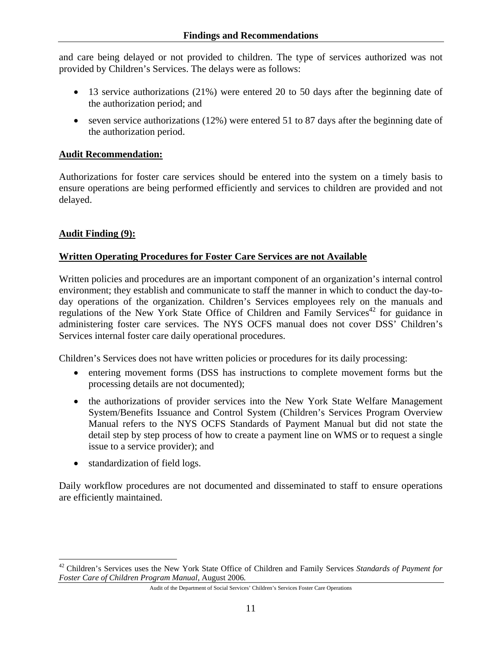and care being delayed or not provided to children. The type of services authorized was not provided by Children's Services. The delays were as follows:

- 13 service authorizations (21%) were entered 20 to 50 days after the beginning date of the authorization period; and
- seven service authorizations  $(12%)$  were entered 51 to 87 days after the beginning date of the authorization period.

#### **Audit Recommendation:**

Authorizations for foster care services should be entered into the system on a timely basis to ensure operations are being performed efficiently and services to children are provided and not delayed.

#### **Audit Finding (9):**

#### **Written Operating Procedures for Foster Care Services are not Available**

Written policies and procedures are an important component of an organization's internal control environment; they establish and communicate to staff the manner in which to conduct the day-today operations of the organization. Children's Services employees rely on the manuals and regulations of the New York State Office of Children and Family Services<sup>42</sup> for guidance in administering foster care services. The NYS OCFS manual does not cover DSS' Children's Services internal foster care daily operational procedures.

Children's Services does not have written policies or procedures for its daily processing:

- entering movement forms (DSS has instructions to complete movement forms but the processing details are not documented);
- the authorizations of provider services into the New York State Welfare Management System/Benefits Issuance and Control System (Children's Services Program Overview Manual refers to the NYS OCFS Standards of Payment Manual but did not state the detail step by step process of how to create a payment line on WMS or to request a single issue to a service provider); and
- standardization of field logs.

1

Daily workflow procedures are not documented and disseminated to staff to ensure operations are efficiently maintained.

<sup>42</sup> Children's Services uses the New York State Office of Children and Family Services *Standards of Payment for Foster Care of Children Program Manual*, August 2006*.*

Audit of the Department of Social Services' Children's Services Foster Care Operations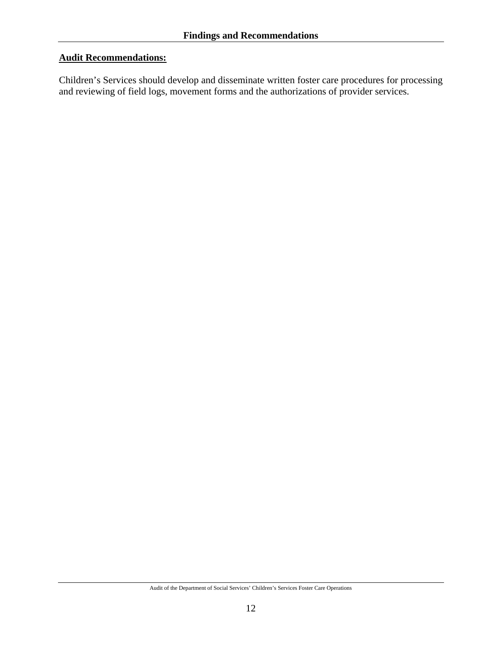#### **Audit Recommendations:**

Children's Services should develop and disseminate written foster care procedures for processing and reviewing of field logs, movement forms and the authorizations of provider services.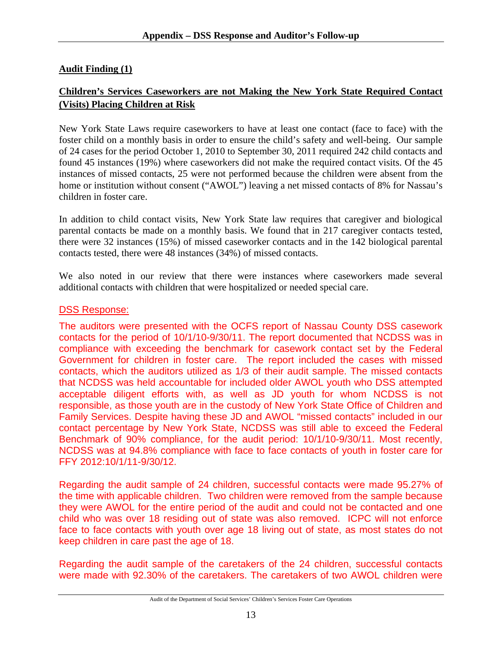# **Audit Finding (1)**

# **Children's Services Caseworkers are not Making the New York State Required Contact (Visits) Placing Children at Risk**

New York State Laws require caseworkers to have at least one contact (face to face) with the foster child on a monthly basis in order to ensure the child's safety and well-being. Our sample of 24 cases for the period October 1, 2010 to September 30, 2011 required 242 child contacts and found 45 instances (19%) where caseworkers did not make the required contact visits. Of the 45 instances of missed contacts, 25 were not performed because the children were absent from the home or institution without consent ("AWOL") leaving a net missed contacts of 8% for Nassau's children in foster care.

In addition to child contact visits, New York State law requires that caregiver and biological parental contacts be made on a monthly basis. We found that in 217 caregiver contacts tested, there were 32 instances (15%) of missed caseworker contacts and in the 142 biological parental contacts tested, there were 48 instances (34%) of missed contacts.

We also noted in our review that there were instances where caseworkers made several additional contacts with children that were hospitalized or needed special care.

#### DSS Response:

The auditors were presented with the OCFS report of Nassau County DSS casework contacts for the period of 10/1/10-9/30/11. The report documented that NCDSS was in compliance with exceeding the benchmark for casework contact set by the Federal Government for children in foster care. The report included the cases with missed contacts, which the auditors utilized as 1/3 of their audit sample. The missed contacts that NCDSS was held accountable for included older AWOL youth who DSS attempted acceptable diligent efforts with, as well as JD youth for whom NCDSS is not responsible, as those youth are in the custody of New York State Office of Children and Family Services. Despite having these JD and AWOL "missed contacts" included in our contact percentage by New York State, NCDSS was still able to exceed the Federal Benchmark of 90% compliance, for the audit period: 10/1/10-9/30/11. Most recently, NCDSS was at 94.8% compliance with face to face contacts of youth in foster care for FFY 2012:10/1/11-9/30/12.

Regarding the audit sample of 24 children, successful contacts were made 95.27% of the time with applicable children. Two children were removed from the sample because they were AWOL for the entire period of the audit and could not be contacted and one child who was over 18 residing out of state was also removed. ICPC will not enforce face to face contacts with youth over age 18 living out of state, as most states do not keep children in care past the age of 18.

Regarding the audit sample of the caretakers of the 24 children, successful contacts were made with 92.30% of the caretakers. The caretakers of two AWOL children were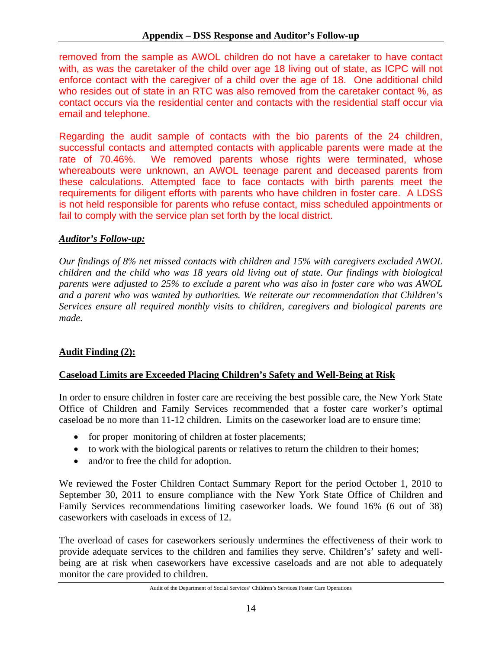removed from the sample as AWOL children do not have a caretaker to have contact with, as was the caretaker of the child over age 18 living out of state, as ICPC will not enforce contact with the caregiver of a child over the age of 18. One additional child who resides out of state in an RTC was also removed from the caretaker contact %, as contact occurs via the residential center and contacts with the residential staff occur via email and telephone.

Regarding the audit sample of contacts with the bio parents of the 24 children, successful contacts and attempted contacts with applicable parents were made at the rate of 70.46%. We removed parents whose rights were terminated, whose whereabouts were unknown, an AWOL teenage parent and deceased parents from these calculations. Attempted face to face contacts with birth parents meet the requirements for diligent efforts with parents who have children in foster care. A LDSS is not held responsible for parents who refuse contact, miss scheduled appointments or fail to comply with the service plan set forth by the local district.

### *Auditor's Follow-up:*

*Our findings of 8% net missed contacts with children and 15% with caregivers excluded AWOL children and the child who was 18 years old living out of state. Our findings with biological parents were adjusted to 25% to exclude a parent who was also in foster care who was AWOL and a parent who was wanted by authorities. We reiterate our recommendation that Children's Services ensure all required monthly visits to children, caregivers and biological parents are made.* 

### **Audit Finding (2):**

### **Caseload Limits are Exceeded Placing Children's Safety and Well-Being at Risk**

In order to ensure children in foster care are receiving the best possible care, the New York State Office of Children and Family Services recommended that a foster care worker's optimal caseload be no more than 11-12 children. Limits on the caseworker load are to ensure time:

- for proper monitoring of children at foster placements;
- to work with the biological parents or relatives to return the children to their homes;
- and/or to free the child for adoption.

We reviewed the Foster Children Contact Summary Report for the period October 1, 2010 to September 30, 2011 to ensure compliance with the New York State Office of Children and Family Services recommendations limiting caseworker loads. We found 16% (6 out of 38) caseworkers with caseloads in excess of 12.

The overload of cases for caseworkers seriously undermines the effectiveness of their work to provide adequate services to the children and families they serve. Children's' safety and wellbeing are at risk when caseworkers have excessive caseloads and are not able to adequately monitor the care provided to children.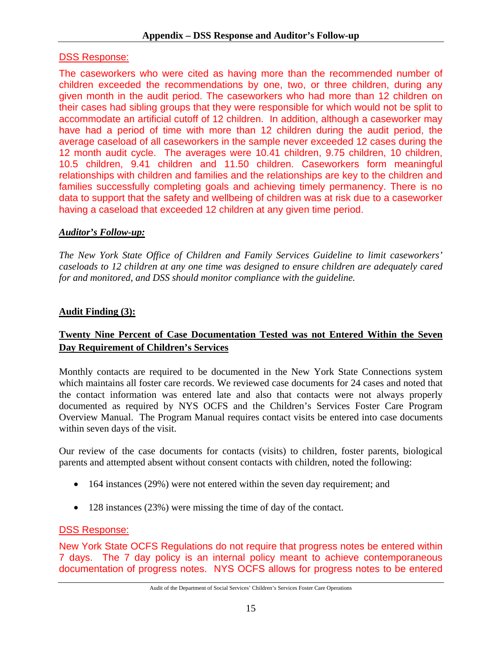# DSS Response:

The caseworkers who were cited as having more than the recommended number of children exceeded the recommendations by one, two, or three children, during any given month in the audit period. The caseworkers who had more than 12 children on their cases had sibling groups that they were responsible for which would not be split to accommodate an artificial cutoff of 12 children. In addition, although a caseworker may have had a period of time with more than 12 children during the audit period, the average caseload of all caseworkers in the sample never exceeded 12 cases during the 12 month audit cycle. The averages were 10.41 children, 9.75 children, 10 children, 10.5 children, 9.41 children and 11.50 children. Caseworkers form meaningful relationships with children and families and the relationships are key to the children and families successfully completing goals and achieving timely permanency. There is no data to support that the safety and wellbeing of children was at risk due to a caseworker having a caseload that exceeded 12 children at any given time period.

# *Auditor's Follow-up:*

*The New York State Office of Children and Family Services Guideline to limit caseworkers' caseloads to 12 children at any one time was designed to ensure children are adequately cared for and monitored, and DSS should monitor compliance with the guideline.* 

# **Audit Finding (3):**

# **Twenty Nine Percent of Case Documentation Tested was not Entered Within the Seven Day Requirement of Children's Services**

Monthly contacts are required to be documented in the New York State Connections system which maintains all foster care records. We reviewed case documents for 24 cases and noted that the contact information was entered late and also that contacts were not always properly documented as required by NYS OCFS and the Children's Services Foster Care Program Overview Manual. The Program Manual requires contact visits be entered into case documents within seven days of the visit.

Our review of the case documents for contacts (visits) to children, foster parents, biological parents and attempted absent without consent contacts with children, noted the following:

- 164 instances (29%) were not entered within the seven day requirement; and
- 128 instances (23%) were missing the time of day of the contact.

# DSS Response:

New York State OCFS Regulations do not require that progress notes be entered within 7 days. The 7 day policy is an internal policy meant to achieve contemporaneous documentation of progress notes. NYS OCFS allows for progress notes to be entered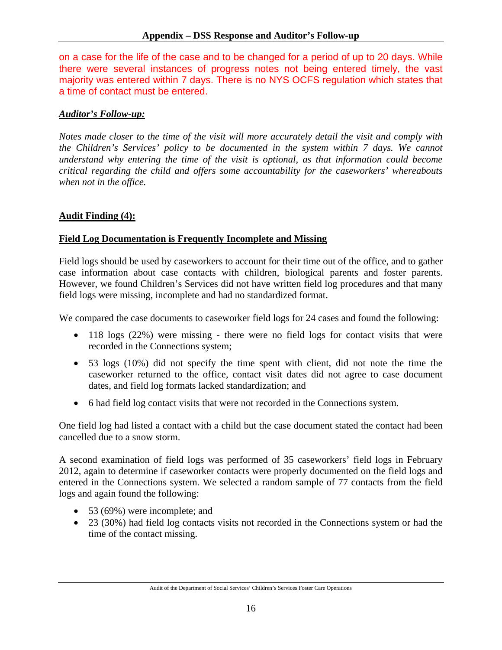on a case for the life of the case and to be changed for a period of up to 20 days. While there were several instances of progress notes not being entered timely, the vast majority was entered within 7 days. There is no NYS OCFS regulation which states that a time of contact must be entered.

#### *Auditor's Follow-up:*

*Notes made closer to the time of the visit will more accurately detail the visit and comply with the Children's Services' policy to be documented in the system within 7 days. We cannot understand why entering the time of the visit is optional, as that information could become critical regarding the child and offers some accountability for the caseworkers' whereabouts when not in the office.* 

#### **Audit Finding (4):**

#### **Field Log Documentation is Frequently Incomplete and Missing**

Field logs should be used by caseworkers to account for their time out of the office, and to gather case information about case contacts with children, biological parents and foster parents. However, we found Children's Services did not have written field log procedures and that many field logs were missing, incomplete and had no standardized format.

We compared the case documents to caseworker field logs for 24 cases and found the following:

- 118 logs (22%) were missing there were no field logs for contact visits that were recorded in the Connections system;
- 53 logs (10%) did not specify the time spent with client, did not note the time the caseworker returned to the office, contact visit dates did not agree to case document dates, and field log formats lacked standardization; and
- 6 had field log contact visits that were not recorded in the Connections system.

One field log had listed a contact with a child but the case document stated the contact had been cancelled due to a snow storm.

A second examination of field logs was performed of 35 caseworkers' field logs in February 2012, again to determine if caseworker contacts were properly documented on the field logs and entered in the Connections system. We selected a random sample of 77 contacts from the field logs and again found the following:

- 53 (69%) were incomplete; and
- 23 (30%) had field log contacts visits not recorded in the Connections system or had the time of the contact missing.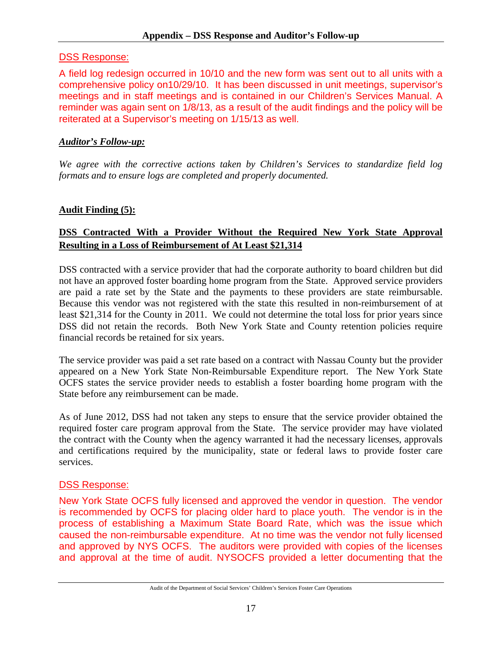# DSS Response:

A field log redesign occurred in 10/10 and the new form was sent out to all units with a comprehensive policy on10/29/10. It has been discussed in unit meetings, supervisor's meetings and in staff meetings and is contained in our Children's Services Manual. A reminder was again sent on 1/8/13, as a result of the audit findings and the policy will be reiterated at a Supervisor's meeting on 1/15/13 as well.

# *Auditor's Follow-up:*

*We agree with the corrective actions taken by Children's Services to standardize field log formats and to ensure logs are completed and properly documented.* 

# **Audit Finding (5):**

# **DSS Contracted With a Provider Without the Required New York State Approval Resulting in a Loss of Reimbursement of At Least \$21,314**

DSS contracted with a service provider that had the corporate authority to board children but did not have an approved foster boarding home program from the State. Approved service providers are paid a rate set by the State and the payments to these providers are state reimbursable. Because this vendor was not registered with the state this resulted in non-reimbursement of at least \$21,314 for the County in 2011. We could not determine the total loss for prior years since DSS did not retain the records. Both New York State and County retention policies require financial records be retained for six years.

The service provider was paid a set rate based on a contract with Nassau County but the provider appeared on a New York State Non-Reimbursable Expenditure report. The New York State OCFS states the service provider needs to establish a foster boarding home program with the State before any reimbursement can be made.

As of June 2012, DSS had not taken any steps to ensure that the service provider obtained the required foster care program approval from the State. The service provider may have violated the contract with the County when the agency warranted it had the necessary licenses, approvals and certifications required by the municipality, state or federal laws to provide foster care services.

# DSS Response:

New York State OCFS fully licensed and approved the vendor in question. The vendor is recommended by OCFS for placing older hard to place youth. The vendor is in the process of establishing a Maximum State Board Rate, which was the issue which caused the non-reimbursable expenditure. At no time was the vendor not fully licensed and approved by NYS OCFS. The auditors were provided with copies of the licenses and approval at the time of audit. NYSOCFS provided a letter documenting that the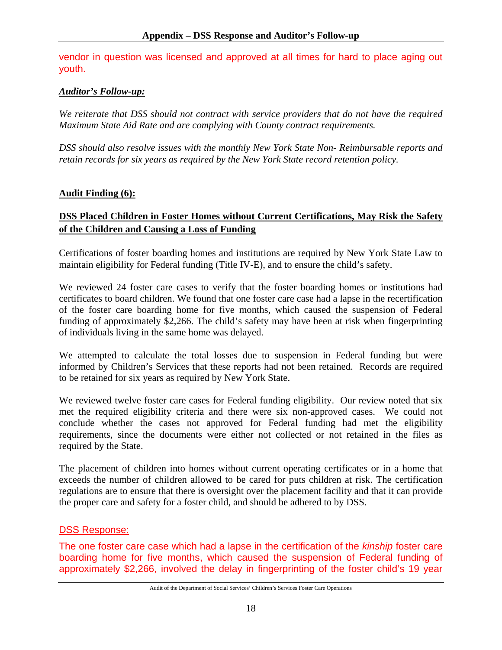vendor in question was licensed and approved at all times for hard to place aging out youth.

### *Auditor's Follow-up:*

*We reiterate that DSS should not contract with service providers that do not have the required Maximum State Aid Rate and are complying with County contract requirements.* 

*DSS should also resolve issues with the monthly New York State Non- Reimbursable reports and retain records for six years as required by the New York State record retention policy.* 

#### **Audit Finding (6):**

## **DSS Placed Children in Foster Homes without Current Certifications, May Risk the Safety of the Children and Causing a Loss of Funding**

Certifications of foster boarding homes and institutions are required by New York State Law to maintain eligibility for Federal funding (Title IV-E), and to ensure the child's safety.

We reviewed 24 foster care cases to verify that the foster boarding homes or institutions had certificates to board children. We found that one foster care case had a lapse in the recertification of the foster care boarding home for five months, which caused the suspension of Federal funding of approximately \$2,266. The child's safety may have been at risk when fingerprinting of individuals living in the same home was delayed.

We attempted to calculate the total losses due to suspension in Federal funding but were informed by Children's Services that these reports had not been retained. Records are required to be retained for six years as required by New York State.

We reviewed twelve foster care cases for Federal funding eligibility. Our review noted that six met the required eligibility criteria and there were six non-approved cases. We could not conclude whether the cases not approved for Federal funding had met the eligibility requirements, since the documents were either not collected or not retained in the files as required by the State.

The placement of children into homes without current operating certificates or in a home that exceeds the number of children allowed to be cared for puts children at risk. The certification regulations are to ensure that there is oversight over the placement facility and that it can provide the proper care and safety for a foster child, and should be adhered to by DSS.

### DSS Response:

The one foster care case which had a lapse in the certification of the *kinship* foster care boarding home for five months, which caused the suspension of Federal funding of approximately \$2,266, involved the delay in fingerprinting of the foster child's 19 year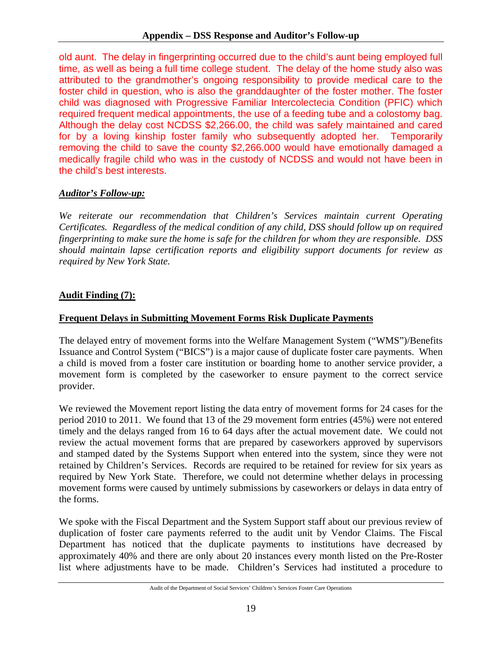old aunt. The delay in fingerprinting occurred due to the child's aunt being employed full time, as well as being a full time college student. The delay of the home study also was attributed to the grandmother's ongoing responsibility to provide medical care to the foster child in question, who is also the granddaughter of the foster mother. The foster child was diagnosed with Progressive Familiar Intercolectecia Condition (PFIC) which required frequent medical appointments, the use of a feeding tube and a colostomy bag. Although the delay cost NCDSS \$2,266.00, the child was safely maintained and cared for by a loving kinship foster family who subsequently adopted her. Temporarily removing the child to save the county \$2,266.000 would have emotionally damaged a medically fragile child who was in the custody of NCDSS and would not have been in the child's best interests.

# *Auditor's Follow-up:*

*We reiterate our recommendation that Children's Services maintain current Operating Certificates. Regardless of the medical condition of any child, DSS should follow up on required fingerprinting to make sure the home is safe for the children for whom they are responsible. DSS should maintain lapse certification reports and eligibility support documents for review as required by New York State.* 

# **Audit Finding (7):**

# **Frequent Delays in Submitting Movement Forms Risk Duplicate Payments**

The delayed entry of movement forms into the Welfare Management System ("WMS")/Benefits Issuance and Control System ("BICS") is a major cause of duplicate foster care payments. When a child is moved from a foster care institution or boarding home to another service provider, a movement form is completed by the caseworker to ensure payment to the correct service provider.

We reviewed the Movement report listing the data entry of movement forms for 24 cases for the period 2010 to 2011. We found that 13 of the 29 movement form entries (45%) were not entered timely and the delays ranged from 16 to 64 days after the actual movement date. We could not review the actual movement forms that are prepared by caseworkers approved by supervisors and stamped dated by the Systems Support when entered into the system, since they were not retained by Children's Services. Records are required to be retained for review for six years as required by New York State. Therefore, we could not determine whether delays in processing movement forms were caused by untimely submissions by caseworkers or delays in data entry of the forms.

We spoke with the Fiscal Department and the System Support staff about our previous review of duplication of foster care payments referred to the audit unit by Vendor Claims. The Fiscal Department has noticed that the duplicate payments to institutions have decreased by approximately 40% and there are only about 20 instances every month listed on the Pre-Roster list where adjustments have to be made. Children's Services had instituted a procedure to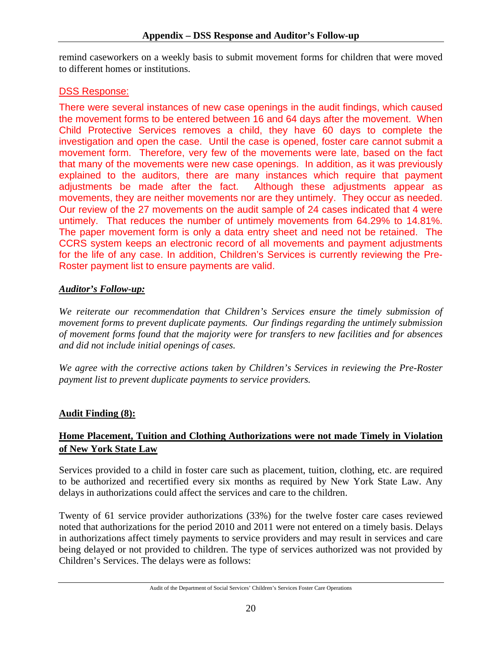remind caseworkers on a weekly basis to submit movement forms for children that were moved to different homes or institutions.

# DSS Response:

There were several instances of new case openings in the audit findings, which caused the movement forms to be entered between 16 and 64 days after the movement. When Child Protective Services removes a child, they have 60 days to complete the investigation and open the case. Until the case is opened, foster care cannot submit a movement form. Therefore, very few of the movements were late, based on the fact that many of the movements were new case openings. In addition, as it was previously explained to the auditors, there are many instances which require that payment adjustments be made after the fact. Although these adjustments appear as movements, they are neither movements nor are they untimely. They occur as needed. Our review of the 27 movements on the audit sample of 24 cases indicated that 4 were untimely. That reduces the number of untimely movements from 64.29% to 14.81%. The paper movement form is only a data entry sheet and need not be retained. The CCRS system keeps an electronic record of all movements and payment adjustments for the life of any case. In addition, Children's Services is currently reviewing the Pre-Roster payment list to ensure payments are valid.

# *Auditor's Follow-up:*

*We reiterate our recommendation that Children's Services ensure the timely submission of movement forms to prevent duplicate payments. Our findings regarding the untimely submission of movement forms found that the majority were for transfers to new facilities and for absences and did not include initial openings of cases.* 

*We agree with the corrective actions taken by Children's Services in reviewing the Pre-Roster payment list to prevent duplicate payments to service providers.* 

# **Audit Finding (8):**

# **Home Placement, Tuition and Clothing Authorizations were not made Timely in Violation of New York State Law**

Services provided to a child in foster care such as placement, tuition, clothing, etc. are required to be authorized and recertified every six months as required by New York State Law. Any delays in authorizations could affect the services and care to the children.

Twenty of 61 service provider authorizations (33%) for the twelve foster care cases reviewed noted that authorizations for the period 2010 and 2011 were not entered on a timely basis. Delays in authorizations affect timely payments to service providers and may result in services and care being delayed or not provided to children. The type of services authorized was not provided by Children's Services. The delays were as follows:

Audit of the Department of Social Services' Children's Services Foster Care Operations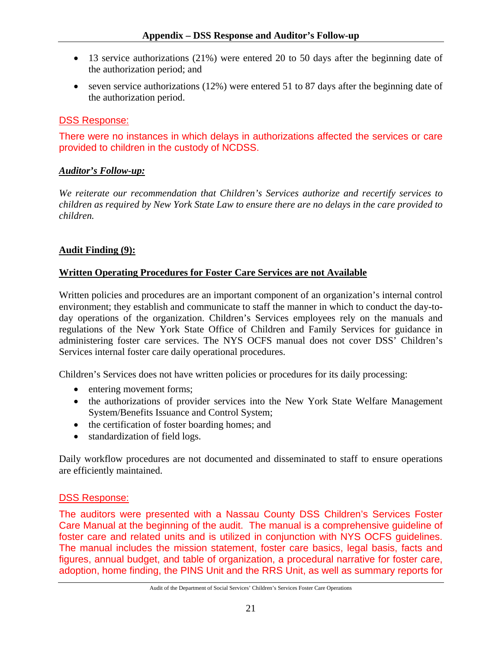- 13 service authorizations (21%) were entered 20 to 50 days after the beginning date of the authorization period; and
- seven service authorizations (12%) were entered 51 to 87 days after the beginning date of the authorization period.

### DSS Response:

There were no instances in which delays in authorizations affected the services or care provided to children in the custody of NCDSS.

### *Auditor's Follow-up:*

*We reiterate our recommendation that Children's Services authorize and recertify services to children as required by New York State Law to ensure there are no delays in the care provided to children.* 

### **Audit Finding (9):**

### **Written Operating Procedures for Foster Care Services are not Available**

Written policies and procedures are an important component of an organization's internal control environment; they establish and communicate to staff the manner in which to conduct the day-today operations of the organization. Children's Services employees rely on the manuals and regulations of the New York State Office of Children and Family Services for guidance in administering foster care services. The NYS OCFS manual does not cover DSS' Children's Services internal foster care daily operational procedures.

Children's Services does not have written policies or procedures for its daily processing:

- entering movement forms;
- the authorizations of provider services into the New York State Welfare Management System/Benefits Issuance and Control System;
- the certification of foster boarding homes; and
- standardization of field logs.

Daily workflow procedures are not documented and disseminated to staff to ensure operations are efficiently maintained.

### DSS Response:

The auditors were presented with a Nassau County DSS Children's Services Foster Care Manual at the beginning of the audit. The manual is a comprehensive guideline of foster care and related units and is utilized in conjunction with NYS OCFS guidelines. The manual includes the mission statement, foster care basics, legal basis, facts and figures, annual budget, and table of organization, a procedural narrative for foster care, adoption, home finding, the PINS Unit and the RRS Unit, as well as summary reports for